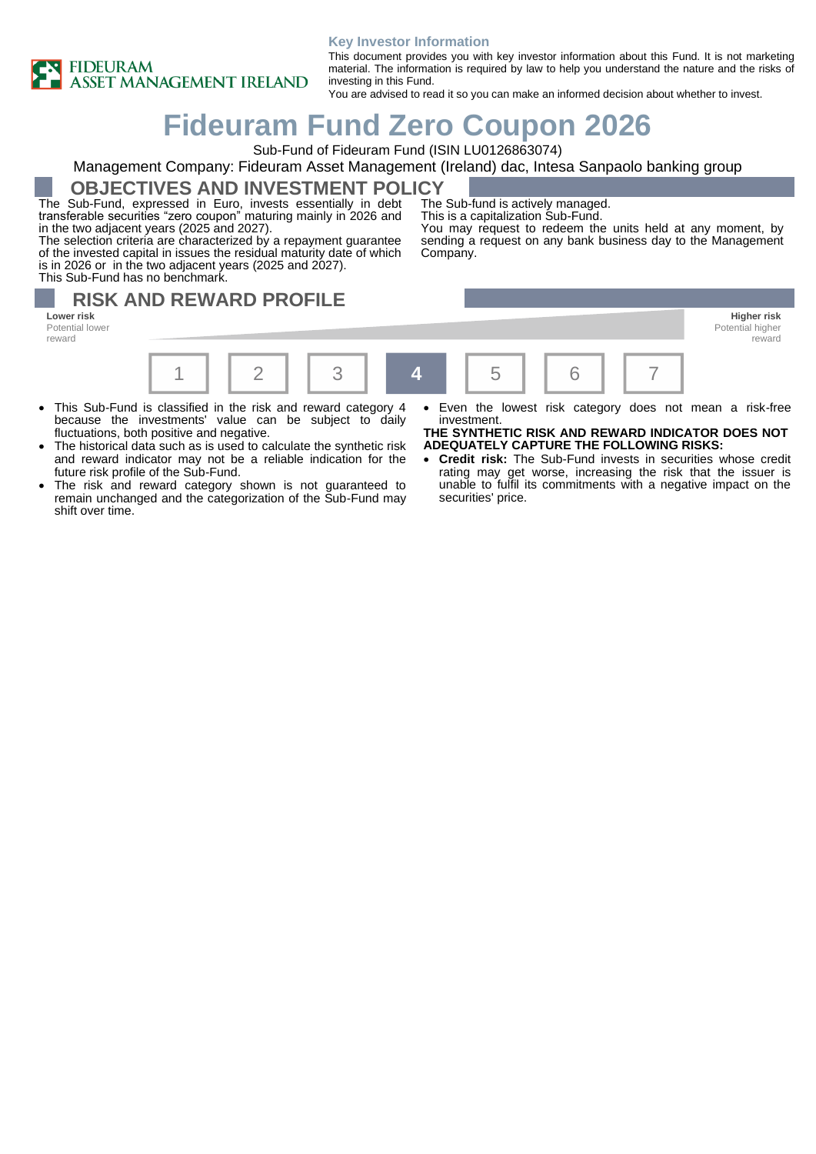

#### **Key Investor Information**

This document provides you with key investor information about this Fund. It is not marketing material. The information is required by law to help you understand the nature and the risks of investing in this Fund.

You are advised to read it so you can make an informed decision about whether to invest.

# **Fideuram Fund Zero Coupon 2026**

Sub-Fund of Fideuram Fund (ISIN LU0126863074)

### Management Company: Fideuram Asset Management (Ireland) dac, Intesa Sanpaolo banking group

**OBJECTIVES AND INVESTMENT POLICY**

The Sub-Fund, expressed in Euro, invests essentially in debt transferable securities "zero coupon" maturing mainly in 2026 and in the two adjacent years (2025 and 2027).

The selection criteria are characterized by a repayment guarantee of the invested capital in issues the residual maturity date of which is in 2026 or in the two adjacent years (2025 and 2027). This Sub-Fund has no benchmark.

The Sub-fund is actively managed.

This is a capitalization Sub-Fund.

You may request to redeem the units held at any moment, by sending a request on any bank business day to the Management Company.

# **RISK AND REWARD PROFILE**

**Lower risk Higher risk** Potential lower reward



- This Sub-Fund is classified in the risk and reward category 4 because the investments' value can be subject to daily fluctuations, both positive and negative.
- The historical data such as is used to calculate the synthetic risk and reward indicator may not be a reliable indication for the future risk profile of the Sub-Fund.
- The risk and reward category shown is not guaranteed to remain unchanged and the categorization of the Sub-Fund may shift over time.
- Even the lowest risk category does not mean a risk-free investment.

reward

**THE SYNTHETIC RISK AND REWARD INDICATOR DOES NOT ADEQUATELY CAPTURE THE FOLLOWING RISKS:**

• **Credit risk:** The Sub-Fund invests in securities whose credit rating may get worse, increasing the risk that the issuer is unable to fulfil its commitments with a negative impact on the securities' price.